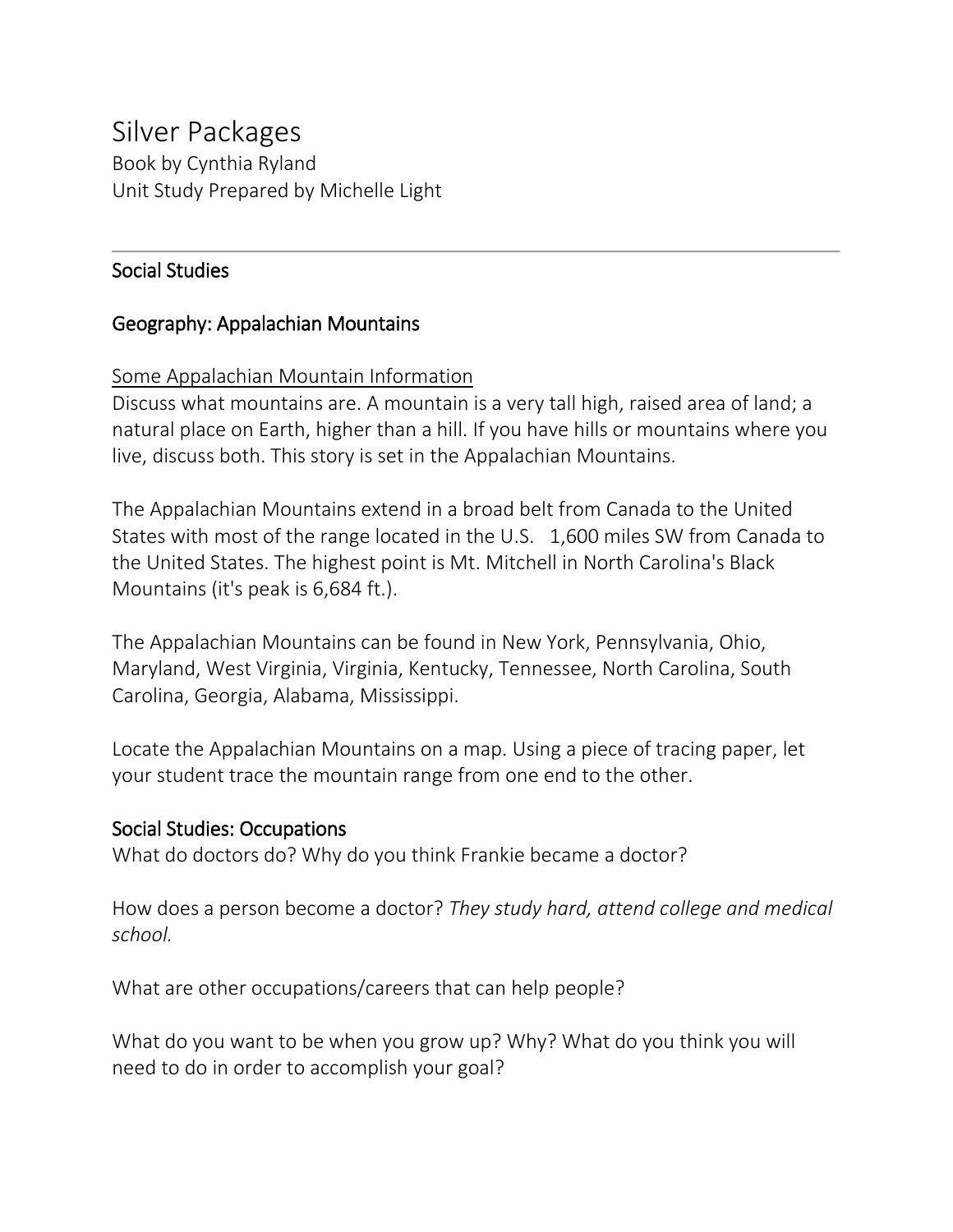# Silver Packages

Book by Cynthia Ryland Unit Study Prepared by Michelle Light

## Social Studies

## Geography: Appalachian Mountains

## Some Appalachian Mountain Information

Discuss what mountains are. A mountain is a very tall high, raised area of land; a natural place on Earth, higher than a hill. If you have hills or mountains where you live, discuss both. This story is set in the Appalachian Mountains.

The Appalachian Mountains extend in a broad belt from Canada to the United States with most of the range located in the U.S. 1,600 miles SW from Canada to the United States. The highest point is Mt. Mitchell in North Carolina's Black Mountains (it's peak is 6,684 ft.).

The Appalachian Mountains can be found in New York, Pennsylvania, Ohio, Maryland, West Virginia, Virginia, Kentucky, Tennessee, North Carolina, South Carolina, Georgia, Alabama, Mississippi.

Locate the Appalachian Mountains on a map. Using a piece of tracing paper, let your student trace the mountain range from one end to the other.

## Social Studies: Occupations

What do doctors do? Why do you think Frankie became a doctor?

How does a person become a doctor? *They study hard, attend college and medical school.*

What are other occupations/careers that can help people?

What do you want to be when you grow up? Why? What do you think you will need to do in order to accomplish your goal?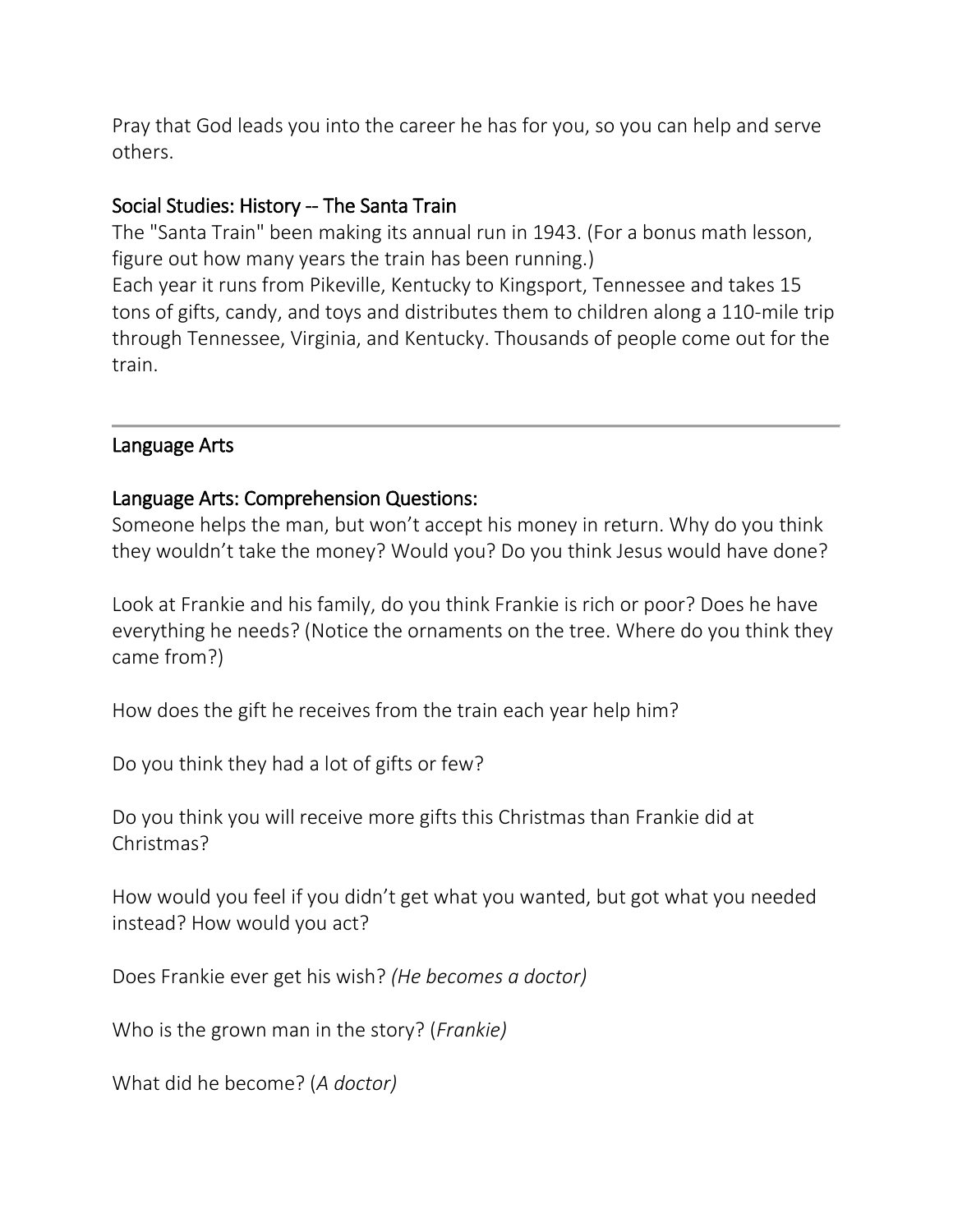Pray that God leads you into the career he has for you, so you can help and serve others.

## Social Studies: History -- The Santa Train

The "Santa Train" been making its annual run in 1943. (For a bonus math lesson, figure out how many years the train has been running.) Each year it runs from Pikeville, Kentucky to Kingsport, Tennessee and takes 15 tons of gifts, candy, and toys and distributes them to children along a 110-mile trip through Tennessee, Virginia, and Kentucky. Thousands of people come out for the train.

#### Language Arts

## Language Arts: Comprehension Questions:

Someone helps the man, but won't accept his money in return. Why do you think they wouldn't take the money? Would you? Do you think Jesus would have done?

Look at Frankie and his family, do you think Frankie is rich or poor? Does he have everything he needs? (Notice the ornaments on the tree. Where do you think they came from?)

How does the gift he receives from the train each year help him?

Do you think they had a lot of gifts or few?

Do you think you will receive more gifts this Christmas than Frankie did at Christmas?

How would you feel if you didn't get what you wanted, but got what you needed instead? How would you act?

Does Frankie ever get his wish? *(He becomes a doctor)*

Who is the grown man in the story? (*Frankie)*

What did he become? (*A doctor)*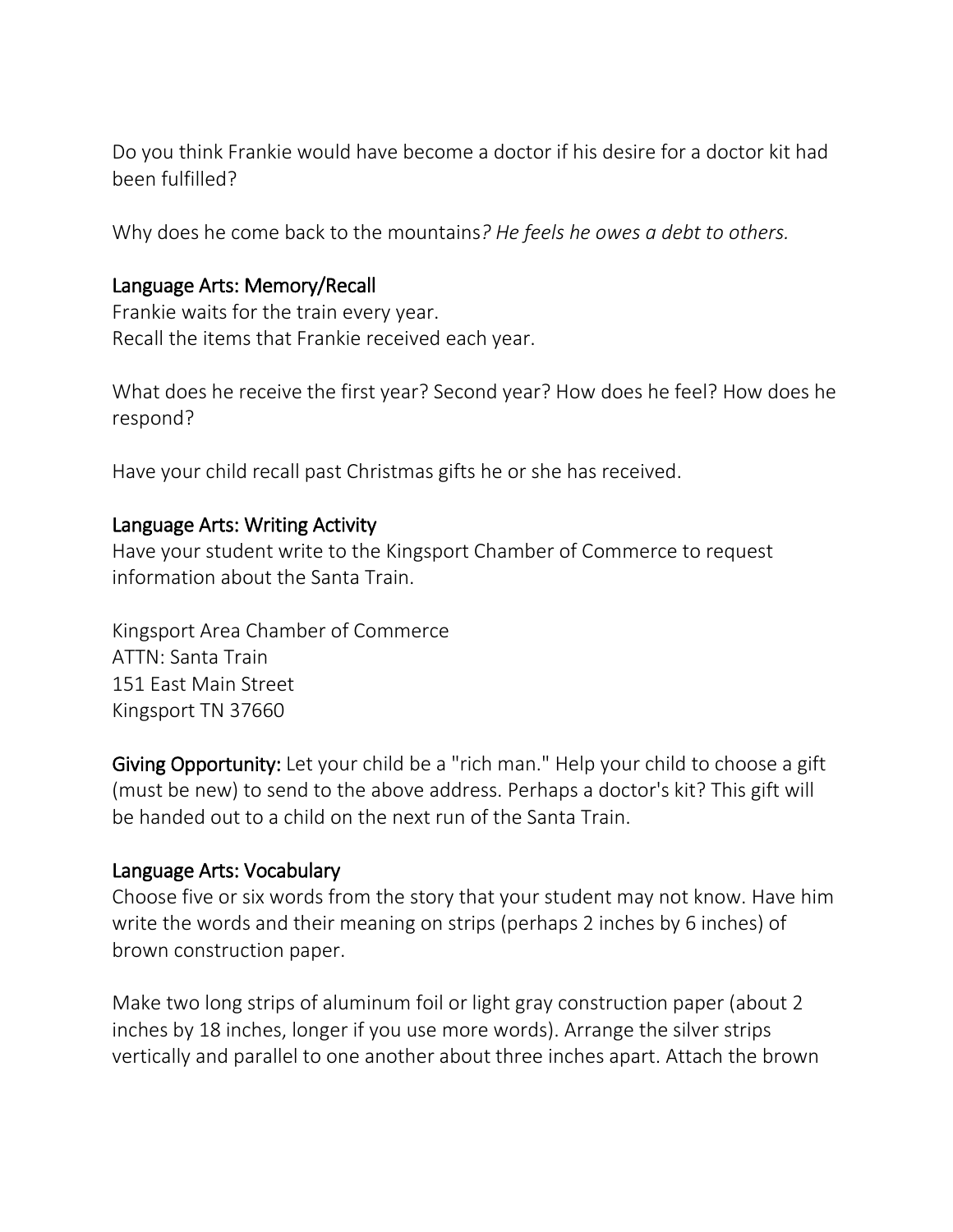Do you think Frankie would have become a doctor if his desire for a doctor kit had been fulfilled?

Why does he come back to the mountains*? He feels he owes a debt to others.*

#### Language Arts: Memory/Recall

Frankie waits for the train every year. Recall the items that Frankie received each year.

What does he receive the first year? Second year? How does he feel? How does he respond?

Have your child recall past Christmas gifts he or she has received.

#### Language Arts: Writing Activity

Have your student write to the Kingsport Chamber of Commerce to request information about the Santa Train.

Kingsport Area Chamber of Commerce ATTN: Santa Train 151 East Main Street Kingsport TN 37660

Giving Opportunity: Let your child be a "rich man." Help your child to choose a gift (must be new) to send to the above address. Perhaps a doctor's kit? This gift will be handed out to a child on the next run of the Santa Train.

## Language Arts: Vocabulary

Choose five or six words from the story that your student may not know. Have him write the words and their meaning on strips (perhaps 2 inches by 6 inches) of brown construction paper.

Make two long strips of aluminum foil or light gray construction paper (about 2 inches by 18 inches, longer if you use more words). Arrange the silver strips vertically and parallel to one another about three inches apart. Attach the brown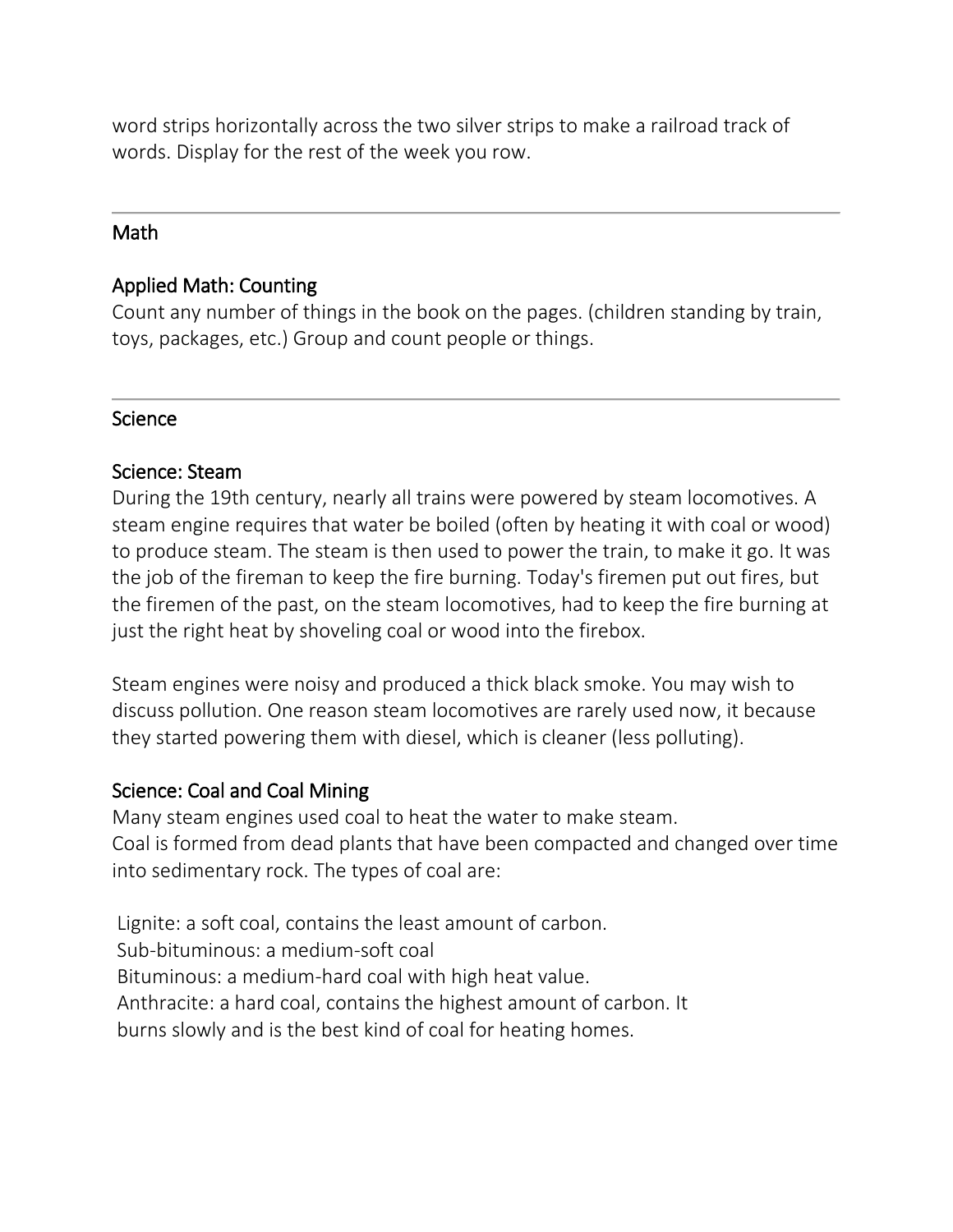word strips horizontally across the two silver strips to make a railroad track of words. Display for the rest of the week you row.

#### Math

## Applied Math: Counting

Count any number of things in the book on the pages. (children standing by train, toys, packages, etc.) Group and count people or things.

#### **Science**

#### Science: Steam

During the 19th century, nearly all trains were powered by steam locomotives. A steam engine requires that water be boiled (often by heating it with coal or wood) to produce steam. The steam is then used to power the train, to make it go. It was the job of the fireman to keep the fire burning. Today's firemen put out fires, but the firemen of the past, on the steam locomotives, had to keep the fire burning at just the right heat by shoveling coal or wood into the firebox.

Steam engines were noisy and produced a thick black smoke. You may wish to discuss pollution. One reason steam locomotives are rarely used now, it because they started powering them with diesel, which is cleaner (less polluting).

## Science: Coal and Coal Mining

Many steam engines used coal to heat the water to make steam. Coal is formed from dead plants that have been compacted and changed over time into sedimentary rock. The types of coal are:

Lignite: a soft coal, contains the least amount of carbon. Sub-bituminous: a medium-soft coal Bituminous: a medium-hard coal with high heat value. Anthracite: a hard coal, contains the highest amount of carbon. It burns slowly and is the best kind of coal for heating homes.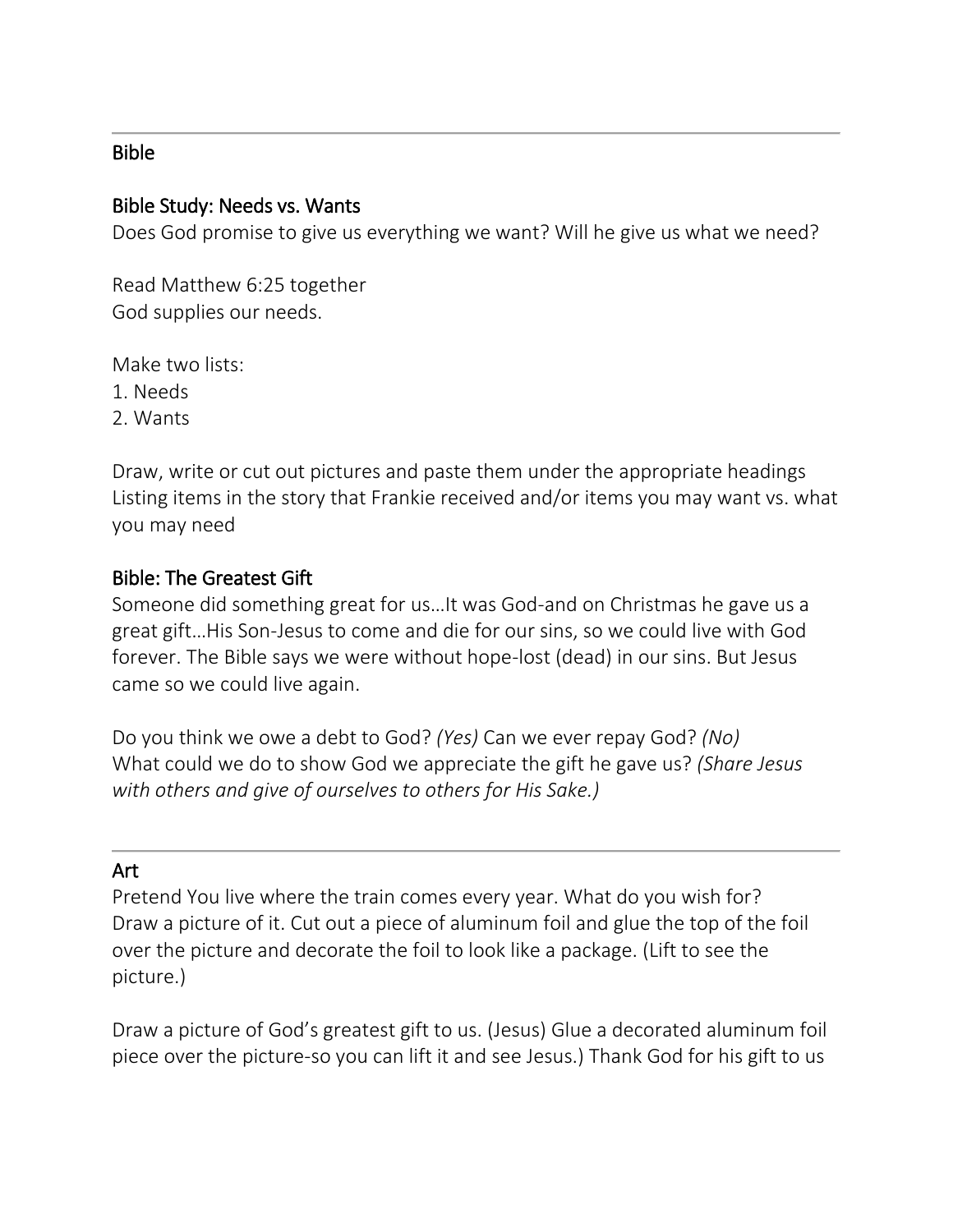## Bible

#### Bible Study: Needs vs. Wants

Does God promise to give us everything we want? Will he give us what we need?

Read Matthew 6:25 together God supplies our needs.

Make two lists:

1. Needs

2. Wants

Draw, write or cut out pictures and paste them under the appropriate headings Listing items in the story that Frankie received and/or items you may want vs. what you may need

#### Bible: The Greatest Gift

Someone did something great for us…It was God-and on Christmas he gave us a great gift…His Son-Jesus to come and die for our sins, so we could live with God forever. The Bible says we were without hope-lost (dead) in our sins. But Jesus came so we could live again.

Do you think we owe a debt to God? *(Yes)* Can we ever repay God? *(No)* What could we do to show God we appreciate the gift he gave us? *(Share Jesus with others and give of ourselves to others for His Sake.)*

#### Art

Pretend You live where the train comes every year. What do you wish for? Draw a picture of it. Cut out a piece of aluminum foil and glue the top of the foil over the picture and decorate the foil to look like a package. (Lift to see the picture.)

Draw a picture of God's greatest gift to us. (Jesus) Glue a decorated aluminum foil piece over the picture-so you can lift it and see Jesus.) Thank God for his gift to us